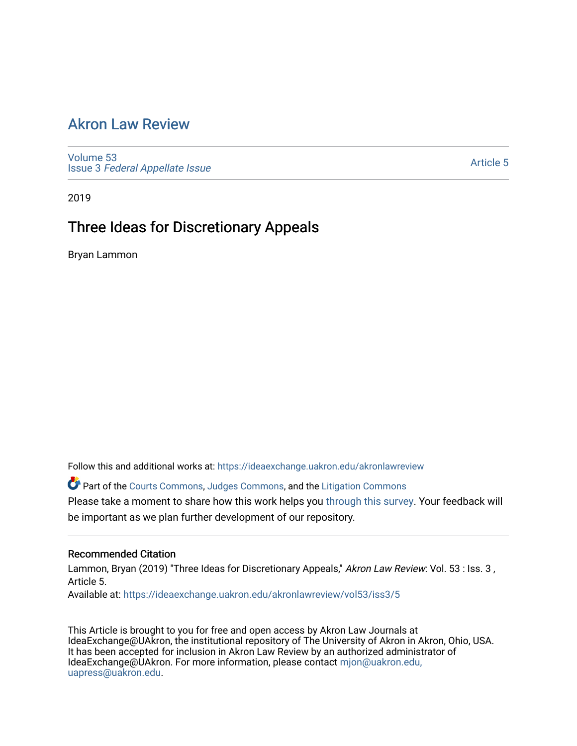## [Akron Law Review](https://ideaexchange.uakron.edu/akronlawreview)

[Volume 53](https://ideaexchange.uakron.edu/akronlawreview/vol53) Issue 3 [Federal Appellate Issue](https://ideaexchange.uakron.edu/akronlawreview/vol53/iss3) 

[Article 5](https://ideaexchange.uakron.edu/akronlawreview/vol53/iss3/5) 

2019

# Three Ideas for Discretionary Appeals

Bryan Lammon

Follow this and additional works at: [https://ideaexchange.uakron.edu/akronlawreview](https://ideaexchange.uakron.edu/akronlawreview?utm_source=ideaexchange.uakron.edu%2Fakronlawreview%2Fvol53%2Fiss3%2F5&utm_medium=PDF&utm_campaign=PDFCoverPages)

Part of the [Courts Commons,](http://network.bepress.com/hgg/discipline/839?utm_source=ideaexchange.uakron.edu%2Fakronlawreview%2Fvol53%2Fiss3%2F5&utm_medium=PDF&utm_campaign=PDFCoverPages) [Judges Commons](http://network.bepress.com/hgg/discipline/849?utm_source=ideaexchange.uakron.edu%2Fakronlawreview%2Fvol53%2Fiss3%2F5&utm_medium=PDF&utm_campaign=PDFCoverPages), and the [Litigation Commons](http://network.bepress.com/hgg/discipline/910?utm_source=ideaexchange.uakron.edu%2Fakronlawreview%2Fvol53%2Fiss3%2F5&utm_medium=PDF&utm_campaign=PDFCoverPages) Please take a moment to share how this work helps you [through this survey](http://survey.az1.qualtrics.com/SE/?SID=SV_eEVH54oiCbOw05f&URL=https://ideaexchange.uakron.edu/akronlawreview/vol53/iss3/5). Your feedback will be important as we plan further development of our repository.

## Recommended Citation

Lammon, Bryan (2019) "Three Ideas for Discretionary Appeals," Akron Law Review: Vol. 53 : Iss. 3, Article 5.

Available at: [https://ideaexchange.uakron.edu/akronlawreview/vol53/iss3/5](https://ideaexchange.uakron.edu/akronlawreview/vol53/iss3/5?utm_source=ideaexchange.uakron.edu%2Fakronlawreview%2Fvol53%2Fiss3%2F5&utm_medium=PDF&utm_campaign=PDFCoverPages) 

This Article is brought to you for free and open access by Akron Law Journals at IdeaExchange@UAkron, the institutional repository of The University of Akron in Akron, Ohio, USA. It has been accepted for inclusion in Akron Law Review by an authorized administrator of IdeaExchange@UAkron. For more information, please contact [mjon@uakron.edu,](mailto:mjon@uakron.edu,%20uapress@uakron.edu) [uapress@uakron.edu.](mailto:mjon@uakron.edu,%20uapress@uakron.edu)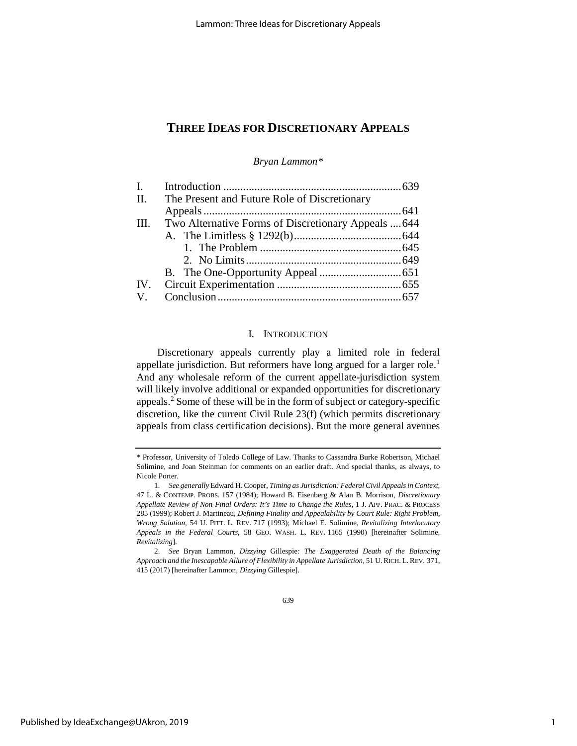*Bryan Lammo[n\\*](#page-1-0)*

| $\mathbf{I}$ . |                                                     |  |
|----------------|-----------------------------------------------------|--|
| II.            | The Present and Future Role of Discretionary        |  |
|                |                                                     |  |
| III.           | Two Alternative Forms of Discretionary Appeals  644 |  |
|                |                                                     |  |
|                |                                                     |  |
|                |                                                     |  |
|                |                                                     |  |
|                |                                                     |  |
|                |                                                     |  |

## I. INTRODUCTION

Discretionary appeals currently play a limited role in federal appellate jurisdiction. But reformers have long argued for a larger role.<sup>1</sup> And any wholesale reform of the current appellate-jurisdiction system will likely involve additional or expanded opportunities for discretionary appeals.[2](#page-1-2) Some of these will be in the form of subject or category-specific discretion, like the current Civil Rule 23(f) (which permits discretionary appeals from class certification decisions). But the more general avenues

<span id="page-1-0"></span><sup>\*</sup> Professor, University of Toledo College of Law. Thanks to Cassandra Burke Robertson, Michael Solimine, and Joan Steinman for comments on an earlier draft. And special thanks, as always, to Nicole Porter.

<span id="page-1-1"></span><sup>1.</sup> *See generally* Edward H. Cooper, *Timing as Jurisdiction: Federal Civil Appeals in Context*, 47 L. & CONTEMP. PROBS. 157 (1984); Howard B. Eisenberg & Alan B. Morrison, *Discretionary Appellate Review of Non-Final Orders: It's Time to Change the Rules*, 1 J. APP. PRAC. & PROCESS 285 (1999); Robert J. Martineau, *Defining Finality and Appealability by Court Rule: Right Problem, Wrong Solution*, 54 U. PITT. L. REV. 717 (1993); Michael E. Solimine, *Revitalizing Interlocutory Appeals in the Federal Courts*, 58 GEO. WASH. L. REV. 1165 (1990) [hereinafter Solimine, *Revitalizing*].

<span id="page-1-2"></span><sup>2.</sup> *See* Bryan Lammon, *Dizzying* Gillespie*: The Exaggerated Death of the Balancing Approach and the Inescapable Allure of Flexibility in Appellate Jurisdiction*, 51 U.RICH. L. REV. 371, 415 (2017) [hereinafter Lammon, *Dizzying* Gillespie].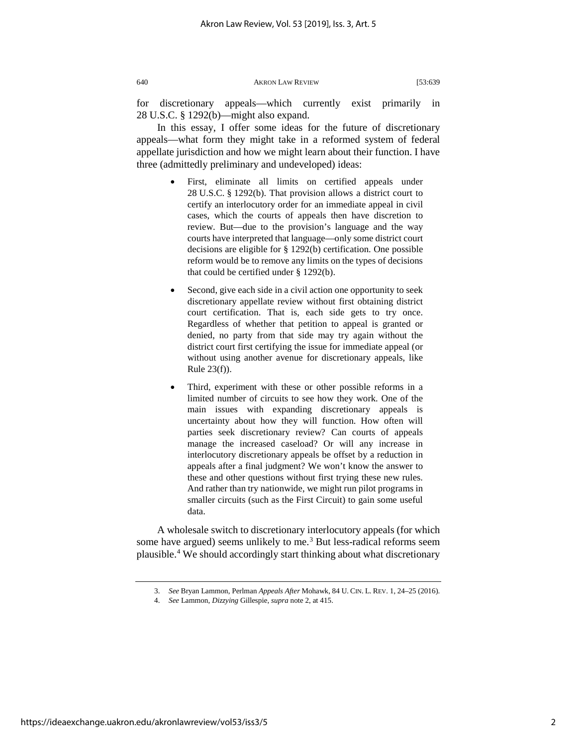for discretionary appeals—which currently exist primarily in 28 U.S.C. § 1292(b)—might also expand.

In this essay, I offer some ideas for the future of discretionary appeals—what form they might take in a reformed system of federal appellate jurisdiction and how we might learn about their function. I have three (admittedly preliminary and undeveloped) ideas:

- First, eliminate all limits on certified appeals under 28 U.S.C. § 1292(b). That provision allows a district court to certify an interlocutory order for an immediate appeal in civil cases, which the courts of appeals then have discretion to review. But—due to the provision's language and the way courts have interpreted that language—only some district court decisions are eligible for § 1292(b) certification. One possible reform would be to remove any limits on the types of decisions that could be certified under § 1292(b).
- Second, give each side in a civil action one opportunity to seek discretionary appellate review without first obtaining district court certification. That is, each side gets to try once. Regardless of whether that petition to appeal is granted or denied, no party from that side may try again without the district court first certifying the issue for immediate appeal (or without using another avenue for discretionary appeals, like Rule 23(f)).
- Third, experiment with these or other possible reforms in a limited number of circuits to see how they work. One of the main issues with expanding discretionary appeals is uncertainty about how they will function. How often will parties seek discretionary review? Can courts of appeals manage the increased caseload? Or will any increase in interlocutory discretionary appeals be offset by a reduction in appeals after a final judgment? We won't know the answer to these and other questions without first trying these new rules. And rather than try nationwide, we might run pilot programs in smaller circuits (such as the First Circuit) to gain some useful data.

<span id="page-2-1"></span><span id="page-2-0"></span>A wholesale switch to discretionary interlocutory appeals (for which some have argued) seems unlikely to me.<sup>[3](#page-2-0)</sup> But less-radical reforms seem plausible.[4](#page-2-1) We should accordingly start thinking about what discretionary

<sup>3.</sup> *See* Bryan Lammon, Perlman *Appeals After* Mohawk, 84 U. CIN. L. REV. 1, 24–25 (2016).

<sup>4.</sup> *See* Lammon, *Dizzying* Gillespie, *supra* note 2, at 415.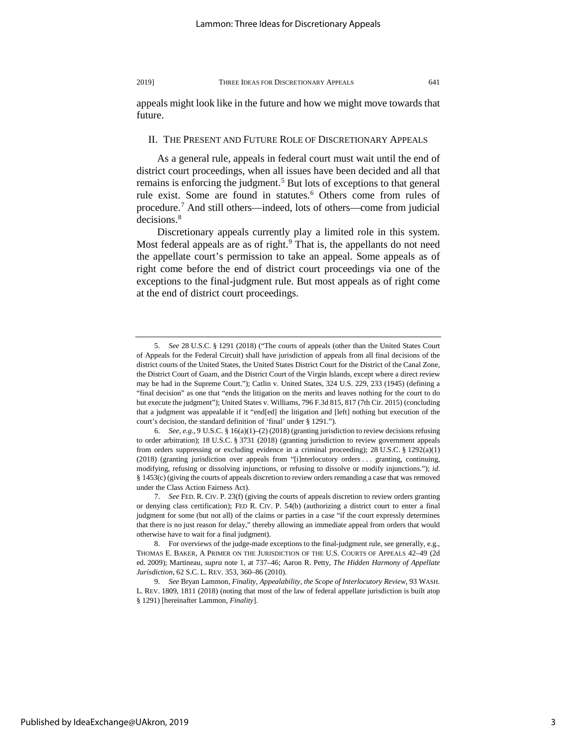appeals might look like in the future and how we might move towards that future.

### II. THE PRESENT AND FUTURE ROLE OF DISCRETIONARY APPEALS

As a general rule, appeals in federal court must wait until the end of district court proceedings, when all issues have been decided and all that remains is enforcing the judgment.<sup>[5](#page-3-0)</sup> But lots of exceptions to that general rule exist. Some are found in statutes.<sup>6</sup> Others come from rules of procedure.[7](#page-3-2) And still others—indeed, lots of others—come from judicial decisions.<sup>[8](#page-3-3)</sup>

Discretionary appeals currently play a limited role in this system. Most federal appeals are as of right. $9$  That is, the appellants do not need the appellate court's permission to take an appeal. Some appeals as of right come before the end of district court proceedings via one of the exceptions to the final-judgment rule. But most appeals as of right come at the end of district court proceedings.

<span id="page-3-0"></span><sup>5.</sup> *See* 28 U.S.C. § 1291 (2018) ("The courts of appeals (other than the United States Court of Appeals for the Federal Circuit) shall have jurisdiction of appeals from all final decisions of the district courts of the United States, the United States District Court for the District of the Canal Zone, the District Court of Guam, and the District Court of the Virgin Islands, except where a direct review may be had in the Supreme Court."); Catlin v. United States, 324 U.S. 229, 233 (1945) (defining a "final decision" as one that "ends the litigation on the merits and leaves nothing for the court to do but execute the judgment"); United States v. Williams, 796 F.3d 815, 817 (7th Cir. 2015) (concluding that a judgment was appealable if it "end[ed] the litigation and [left] nothing but execution of the court's decision, the standard definition of 'final' under § 1291.").

<span id="page-3-1"></span><sup>6.</sup> *See, e.g.*, 9 U.S.C. § 16(a)(1)–(2) (2018) (granting jurisdiction to review decisions refusing to order arbitration); 18 U.S.C. § 3731 (2018) (granting jurisdiction to review government appeals from orders suppressing or excluding evidence in a criminal proceeding); 28 U.S.C. § 1292(a)(1) (2018) (granting jurisdiction over appeals from "[i]nterlocutory orders . . . granting, continuing, modifying, refusing or dissolving injunctions, or refusing to dissolve or modify injunctions."); *id.* § 1453(c) (giving the courts of appeals discretion to review orders remanding a case that was removed under the Class Action Fairness Act).

<span id="page-3-2"></span><sup>7.</sup> *See* FED. R. CIV. P. 23(f) (giving the courts of appeals discretion to review orders granting or denying class certification); FED R. CIV. P. 54(b) (authorizing a district court to enter a final judgment for some (but not all) of the claims or parties in a case "if the court expressly determines that there is no just reason for delay," thereby allowing an immediate appeal from orders that would otherwise have to wait for a final judgment).

<span id="page-3-3"></span><sup>8.</sup> For overviews of the judge-made exceptions to the final-judgment rule, see generally, e.g., THOMAS E. BAKER, A PRIMER ON THE JURISDICTION OF THE U.S. COURTS OF APPEALS 42–49 (2d ed. 2009); Martineau, *supra* note 1, at 737–46; Aaron R. Petty, *The Hidden Harmony of Appellate Jurisdiction*, 62 S.C. L. REV. 353, 360–86 (2010).

<span id="page-3-4"></span><sup>9.</sup> *See* Bryan Lammon, *Finality, Appealability, the Scope of Interlocutory Review*, 93 WASH. L. REV. 1809, 1811 (2018) (noting that most of the law of federal appellate jurisdiction is built atop § 1291) [hereinafter Lammon, *Finality*].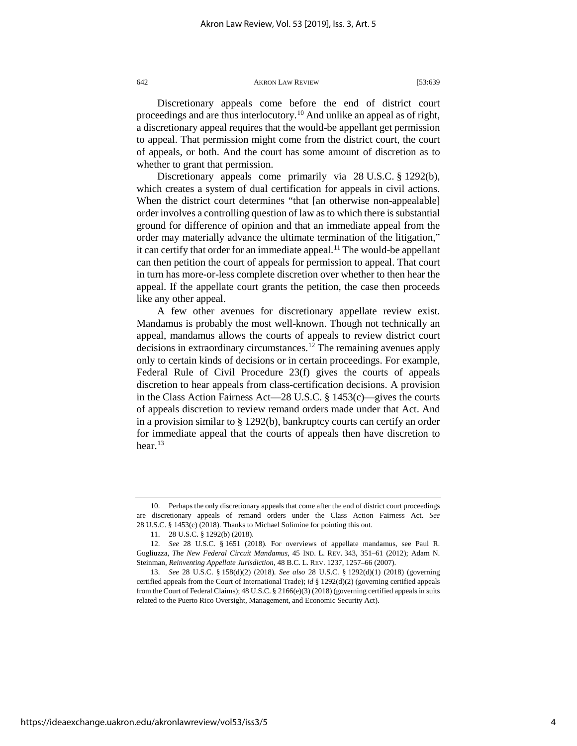Discretionary appeals come before the end of district court proceedings and are thus interlocutory.[10](#page-4-0) And unlike an appeal as of right, a discretionary appeal requires that the would-be appellant get permission to appeal. That permission might come from the district court, the court of appeals, or both. And the court has some amount of discretion as to whether to grant that permission.

Discretionary appeals come primarily via 28 U.S.C. § 1292(b), which creates a system of dual certification for appeals in civil actions. When the district court determines "that [an otherwise non-appealable] order involves a controlling question of law as to which there is substantial ground for difference of opinion and that an immediate appeal from the order may materially advance the ultimate termination of the litigation," it can certify that order for an immediate appeal.<sup>[11](#page-4-1)</sup> The would-be appellant can then petition the court of appeals for permission to appeal. That court in turn has more-or-less complete discretion over whether to then hear the appeal. If the appellate court grants the petition, the case then proceeds like any other appeal.

A few other avenues for discretionary appellate review exist. Mandamus is probably the most well-known. Though not technically an appeal, mandamus allows the courts of appeals to review district court decisions in extraordinary circumstances.<sup>12</sup> The remaining avenues apply only to certain kinds of decisions or in certain proceedings. For example, Federal Rule of Civil Procedure 23(f) gives the courts of appeals discretion to hear appeals from class-certification decisions. A provision in the Class Action Fairness Act—28 U.S.C. § 1453(c)—gives the courts of appeals discretion to review remand orders made under that Act. And in a provision similar to § 1292(b), bankruptcy courts can certify an order for immediate appeal that the courts of appeals then have discretion to hear. $13$ 

<span id="page-4-0"></span><sup>10.</sup> Perhaps the only discretionary appeals that come after the end of district court proceedings are discretionary appeals of remand orders under the Class Action Fairness Act. *See* 28 U.S.C. § 1453(c) (2018). Thanks to Michael Solimine for pointing this out.

<sup>11.</sup> 28 U.S.C. § 1292(b) (2018).

<span id="page-4-2"></span><span id="page-4-1"></span><sup>12.</sup> *See* 28 U.S.C. § 1651 (2018). For overviews of appellate mandamus, see Paul R. Gugliuzza, *The New Federal Circuit Mandamus*, 45 IND. L. REV. 343, 351–61 (2012); Adam N. Steinman, *Reinventing Appellate Jurisdiction*, 48 B.C. L. REV. 1237, 1257–66 (2007).

<span id="page-4-3"></span><sup>13.</sup> *See* 28 U.S.C. § 158(d)(2) (2018). *See also* 28 U.S.C. § 1292(d)(1) (2018) (governing certified appeals from the Court of International Trade); *id* § 1292(d)(2) (governing certified appeals from the Court of Federal Claims); 48 U.S.C. § 2166(e)(3) (2018) (governing certified appeals in suits related to the Puerto Rico Oversight, Management, and Economic Security Act).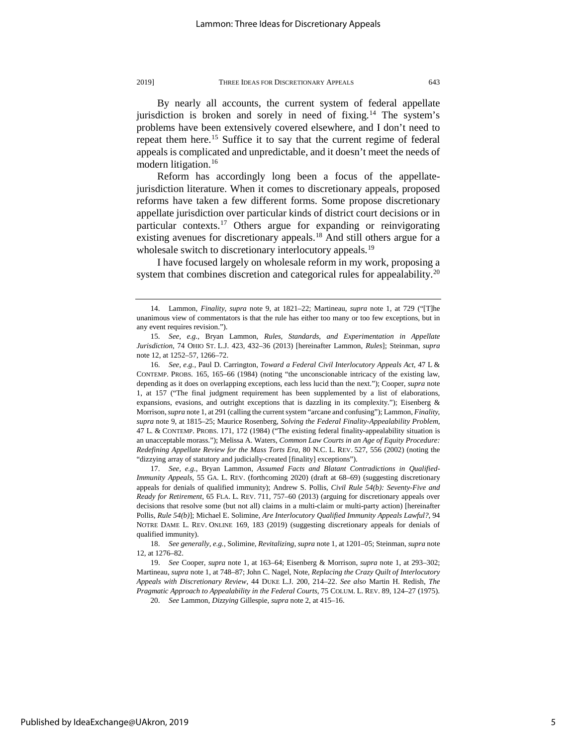By nearly all accounts, the current system of federal appellate jurisdiction is broken and sorely in need of fixing.<sup>[14](#page-5-0)</sup> The system's problems have been extensively covered elsewhere, and I don't need to repeat them here.<sup>[15](#page-5-1)</sup> Suffice it to say that the current regime of federal appeals is complicated and unpredictable, and it doesn't meet the needs of modern litigation.<sup>[16](#page-5-2)</sup>

Reform has accordingly long been a focus of the appellatejurisdiction literature. When it comes to discretionary appeals, proposed reforms have taken a few different forms. Some propose discretionary appellate jurisdiction over particular kinds of district court decisions or in particular contexts.[17](#page-5-3) Others argue for expanding or reinvigorating existing avenues for discretionary appeals.<sup>[18](#page-5-4)</sup> And still others argue for a wholesale switch to discretionary interlocutory appeals.<sup>19</sup>

I have focused largely on wholesale reform in my work, proposing a system that combines discretion and categorical rules for appealability.<sup>[20](#page-5-6)</sup>

<span id="page-5-3"></span>17. *See, e.g.*, Bryan Lammon, *Assumed Facts and Blatant Contradictions in Qualified-Immunity Appeals*, 55 GA. L. REV. (forthcoming 2020) (draft at 68–69) (suggesting discretionary appeals for denials of qualified immunity); Andrew S. Pollis, *Civil Rule 54(b): Seventy-Five and Ready for Retirement*, 65 FLA. L. REV. 711, 757–60 (2013) (arguing for discretionary appeals over decisions that resolve some (but not all) claims in a multi-claim or multi-party action) [hereinafter Pollis, *Rule 54(b)*]; Michael E. Solimine, *Are Interlocutory Qualified Immunity Appeals Lawful?*, 94 NOTRE DAME L. REV. ONLINE 169, 183 (2019) (suggesting discretionary appeals for denials of qualified immunity).

<span id="page-5-0"></span><sup>14.</sup> Lammon, *Finality*, *supra* note 9, at 1821–22; Martineau, *supra* note 1, at 729 ("[T]he unanimous view of commentators is that the rule has either too many or too few exceptions, but in any event requires revision.").

<span id="page-5-1"></span><sup>15.</sup> *See, e.g.*, Bryan Lammon, *Rules, Standards, and Experimentation in Appellate Jurisdiction*, 74 OHIO ST. L.J. 423, 432–36 (2013) [hereinafter Lammon, *Rules*]; Steinman, *supra* note 12, at 1252–57, 1266–72.

<span id="page-5-2"></span><sup>16.</sup> *See, e.g.*, Paul D. Carrington, *Toward a Federal Civil Interlocutory Appeals Act*, 47 L & CONTEMP. PROBS. 165, 165–66 (1984) (noting "the unconscionable intricacy of the existing law, depending as it does on overlapping exceptions, each less lucid than the next."); Cooper, *supra* note 1, at 157 ("The final judgment requirement has been supplemented by a list of elaborations, expansions, evasions, and outright exceptions that is dazzling in its complexity."); Eisenberg & Morrison, *supra* note 1, at 291 (calling the current system "arcane and confusing"); Lammon, *Finality*, *supra* note 9, at 1815–25; Maurice Rosenberg, *Solving the Federal Finality-Appealability Problem*, 47 L. & CONTEMP. PROBS. 171, 172 (1984) ("The existing federal finality-appealability situation is an unacceptable morass."); Melissa A. Waters, *Common Law Courts in an Age of Equity Procedure: Redefining Appellate Review for the Mass Torts Era*, 80 N.C. L. REV. 527, 556 (2002) (noting the "dizzying array of statutory and judicially-created [finality] exceptions").

<span id="page-5-4"></span><sup>18.</sup> *See generally, e.g.*, Solimine, *Revitalizing*, *supra* note 1, at 1201–05; Steinman, *supra* note 12, at 1276–82.

<span id="page-5-6"></span><span id="page-5-5"></span><sup>19.</sup> *See* Cooper, *supra* note 1, at 163–64; Eisenberg & Morrison, *supra* note 1, at 293–302; Martineau, *supra* note 1, at 748–87; John C. Nagel, Note, *Replacing the Crazy Quilt of Interlocutory Appeals with Discretionary Review*, 44 DUKE L.J. 200, 214–22. *See also* Martin H. Redish, *The Pragmatic Approach to Appealability in the Federal Courts*, 75 COLUM. L. REV. 89, 124–27 (1975).

<sup>20.</sup> *See* Lammon, *Dizzying* Gillespie, *supra* note 2, at 415–16.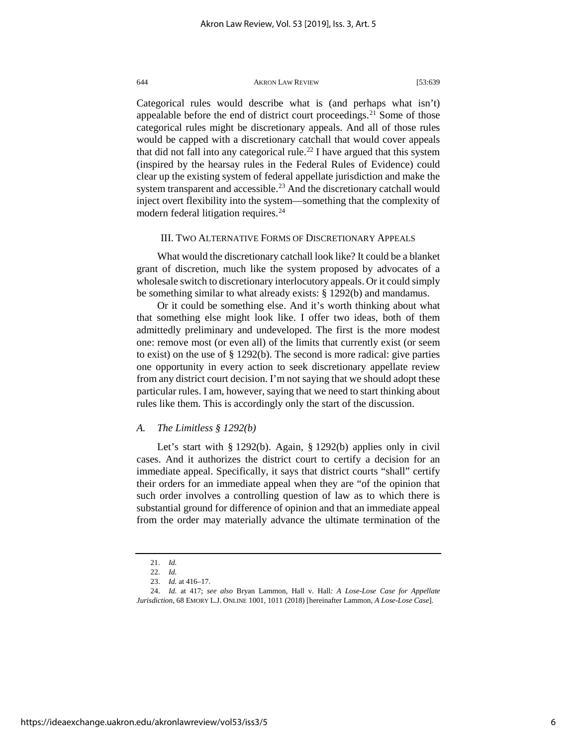Categorical rules would describe what is (and perhaps what isn't) appealable before the end of district court proceedings.<sup>[21](#page-6-0)</sup> Some of those categorical rules might be discretionary appeals. And all of those rules would be capped with a discretionary catchall that would cover appeals that did not fall into any categorical rule.<sup>[22](#page-6-1)</sup> I have argued that this system (inspired by the hearsay rules in the Federal Rules of Evidence) could clear up the existing system of federal appellate jurisdiction and make the system transparent and accessible.<sup>[23](#page-6-2)</sup> And the discretionary catchall would inject overt flexibility into the system—something that the complexity of modern federal litigation requires.<sup>[24](#page-6-3)</sup>

## III. TWO ALTERNATIVE FORMS OF DISCRETIONARY APPEALS

What would the discretionary catchall look like? It could be a blanket grant of discretion, much like the system proposed by advocates of a wholesale switch to discretionary interlocutory appeals. Or it could simply be something similar to what already exists: § 1292(b) and mandamus.

Or it could be something else. And it's worth thinking about what that something else might look like. I offer two ideas, both of them admittedly preliminary and undeveloped. The first is the more modest one: remove most (or even all) of the limits that currently exist (or seem to exist) on the use of § 1292(b). The second is more radical: give parties one opportunity in every action to seek discretionary appellate review from any district court decision. I'm not saying that we should adopt these particular rules. I am, however, saying that we need to start thinking about rules like them. This is accordingly only the start of the discussion.

#### *A. The Limitless § 1292(b)*

Let's start with § 1292(b). Again, § 1292(b) applies only in civil cases. And it authorizes the district court to certify a decision for an immediate appeal. Specifically, it says that district courts "shall" certify their orders for an immediate appeal when they are "of the opinion that such order involves a controlling question of law as to which there is substantial ground for difference of opinion and that an immediate appeal from the order may materially advance the ultimate termination of the

<sup>21.</sup> *Id.*

<sup>22.</sup> *Id.*

<sup>23.</sup> *Id.* at 416–17.

<span id="page-6-3"></span><span id="page-6-2"></span><span id="page-6-1"></span><span id="page-6-0"></span><sup>24.</sup> *Id.* at 417; *see also* Bryan Lammon, Hall v. Hall*: A Lose-Lose Case for Appellate Jurisdiction*, 68 EMORY L.J. ONLINE 1001, 1011 (2018) [hereinafter Lammon, *A Lose-Lose Case*].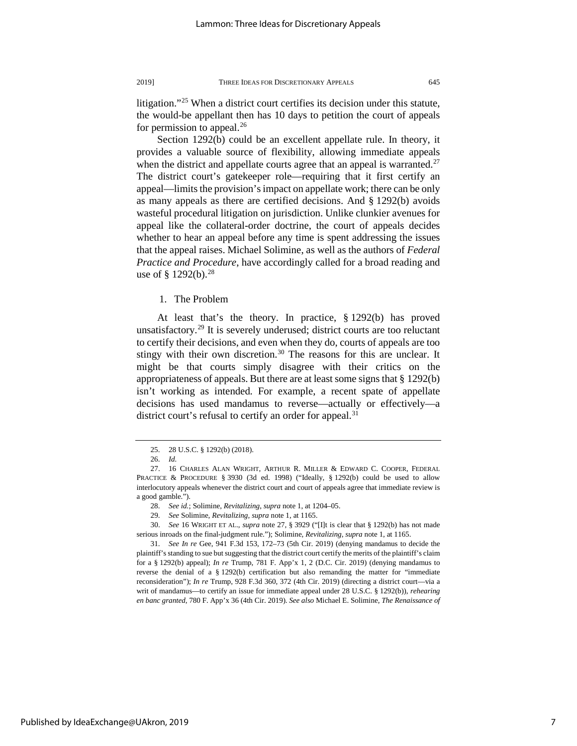litigation."[25](#page-7-0) When a district court certifies its decision under this statute, the would-be appellant then has 10 days to petition the court of appeals for permission to appeal. $^{26}$  $^{26}$  $^{26}$ 

Section 1292(b) could be an excellent appellate rule. In theory, it provides a valuable source of flexibility, allowing immediate appeals when the district and appellate courts agree that an appeal is warranted.<sup>[27](#page-7-2)</sup> The district court's gatekeeper role—requiring that it first certify an appeal—limits the provision's impact on appellate work; there can be only as many appeals as there are certified decisions. And § 1292(b) avoids wasteful procedural litigation on jurisdiction. Unlike clunkier avenues for appeal like the collateral-order doctrine, the court of appeals decides whether to hear an appeal before any time is spent addressing the issues that the appeal raises. Michael Solimine, as well as the authors of *Federal Practice and Procedure*, have accordingly called for a broad reading and use of § 1292(b).<sup>[28](#page-7-3)</sup>

1. The Problem

At least that's the theory. In practice, § 1292(b) has proved unsatisfactory.[29](#page-7-4) It is severely underused; district courts are too reluctant to certify their decisions, and even when they do, courts of appeals are too stingy with their own discretion.<sup>[30](#page-7-5)</sup> The reasons for this are unclear. It might be that courts simply disagree with their critics on the appropriateness of appeals. But there are at least some signs that § 1292(b) isn't working as intended. For example, a recent spate of appellate decisions has used mandamus to reverse—actually or effectively—a district court's refusal to certify an order for appeal.<sup>[31](#page-7-6)</sup>

<sup>25.</sup> 28 U.S.C. § 1292(b) (2018).

<sup>26.</sup> *Id.*

<span id="page-7-2"></span><span id="page-7-1"></span><span id="page-7-0"></span><sup>27.</sup> 16 CHARLES ALAN WRIGHT, ARTHUR R. MILLER & EDWARD C. COOPER, FEDERAL PRACTICE & PROCEDURE § 3930 (3d ed. 1998) ("Ideally, § 1292(b) could be used to allow interlocutory appeals whenever the district court and court of appeals agree that immediate review is a good gamble.").

<sup>28.</sup> *See id.*; Solimine, *Revitalizing*, *supra* note 1, at 1204–05.

<sup>29.</sup> *See* Solimine, *Revitalizing*, *supra* note 1, at 1165.

<span id="page-7-5"></span><span id="page-7-4"></span><span id="page-7-3"></span><sup>30.</sup> *See* 16 WRIGHT ET AL., *supra* note 27, § 3929 ("[I]t is clear that § 1292(b) has not made serious inroads on the final-judgment rule."); Solimine, *Revitalizing*, *supra* note 1, at 1165.

<span id="page-7-6"></span><sup>31.</sup> *See In re* Gee, 941 F.3d 153, 172–73 (5th Cir. 2019) (denying mandamus to decide the plaintiff's standing to sue but suggesting that the district court certify the merits of the plaintiff's claim for a § 1292(b) appeal); *In re* Trump, 781 F. App'x 1, 2 (D.C. Cir. 2019) (denying mandamus to reverse the denial of a  $\S 1292(b)$  certification but also remanding the matter for "immediate reconsideration"); *In re* Trump, 928 F.3d 360, 372 (4th Cir. 2019) (directing a district court—via a writ of mandamus—to certify an issue for immediate appeal under 28 U.S.C. § 1292(b)), *rehearing en banc granted*, 780 F. App'x 36 (4th Cir. 2019). *See also* Michael E. Solimine, *The Renaissance of*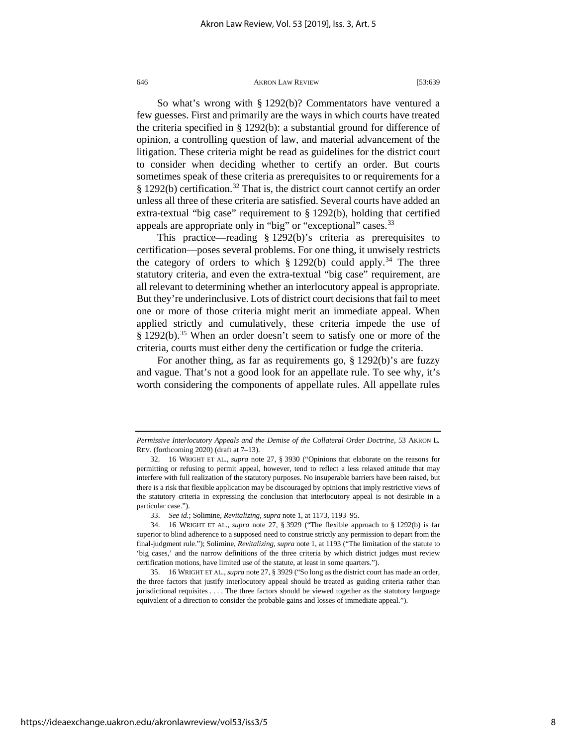So what's wrong with § 1292(b)? Commentators have ventured a few guesses. First and primarily are the ways in which courts have treated the criteria specified in § 1292(b): a substantial ground for difference of opinion, a controlling question of law, and material advancement of the litigation. These criteria might be read as guidelines for the district court to consider when deciding whether to certify an order. But courts sometimes speak of these criteria as prerequisites to or requirements for a § 1292(b) certification.<sup>[32](#page-8-0)</sup> That is, the district court cannot certify an order unless all three of these criteria are satisfied. Several courts have added an extra-textual "big case" requirement to § 1292(b), holding that certified appeals are appropriate only in "big" or "exceptional" cases.<sup>[33](#page-8-1)</sup>

This practice—reading § 1292(b)'s criteria as prerequisites to certification—poses several problems. For one thing, it unwisely restricts the category of orders to which  $\S 1292(b)$  could apply.<sup>[34](#page-8-2)</sup> The three statutory criteria, and even the extra-textual "big case" requirement, are all relevant to determining whether an interlocutory appeal is appropriate. But they're underinclusive. Lots of district court decisions that fail to meet one or more of those criteria might merit an immediate appeal. When applied strictly and cumulatively, these criteria impede the use of  $\S 1292(b).$ <sup>[35](#page-8-3)</sup> When an order doesn't seem to satisfy one or more of the criteria, courts must either deny the certification or fudge the criteria.

For another thing, as far as requirements go, § 1292(b)'s are fuzzy and vague. That's not a good look for an appellate rule. To see why, it's worth considering the components of appellate rules. All appellate rules

*Permissive Interlocutory Appeals and the Demise of the Collateral Order Doctrine*, 53 AKRON L. REV. (forthcoming 2020) (draft at 7–13).

<span id="page-8-0"></span><sup>32.</sup> 16 WRIGHT ET AL., *supra* note 27, § 3930 ("Opinions that elaborate on the reasons for permitting or refusing to permit appeal, however, tend to reflect a less relaxed attitude that may interfere with full realization of the statutory purposes. No insuperable barriers have been raised, but there is a risk that flexible application may be discouraged by opinions that imply restrictive views of the statutory criteria in expressing the conclusion that interlocutory appeal is not desirable in a particular case.").

<sup>33.</sup> *See id.*; Solimine, *Revitalizing*, *supra* note 1, at 1173, 1193–95.

<span id="page-8-2"></span><span id="page-8-1"></span><sup>34.</sup> 16 WRIGHT ET AL., *supra* note 27, § 3929 ("The flexible approach to § 1292(b) is far superior to blind adherence to a supposed need to construe strictly any permission to depart from the final-judgment rule."); Solimine, *Revitalizing*, *supra* note 1, at 1193 ("The limitation of the statute to 'big cases,' and the narrow definitions of the three criteria by which district judges must review certification motions, have limited use of the statute, at least in some quarters.").

<span id="page-8-3"></span><sup>35.</sup> 16 WRIGHT ET AL., *supra* note 27, § 3929 ("So long as the district court has made an order, the three factors that justify interlocutory appeal should be treated as guiding criteria rather than jurisdictional requisites . . . . The three factors should be viewed together as the statutory language equivalent of a direction to consider the probable gains and losses of immediate appeal.").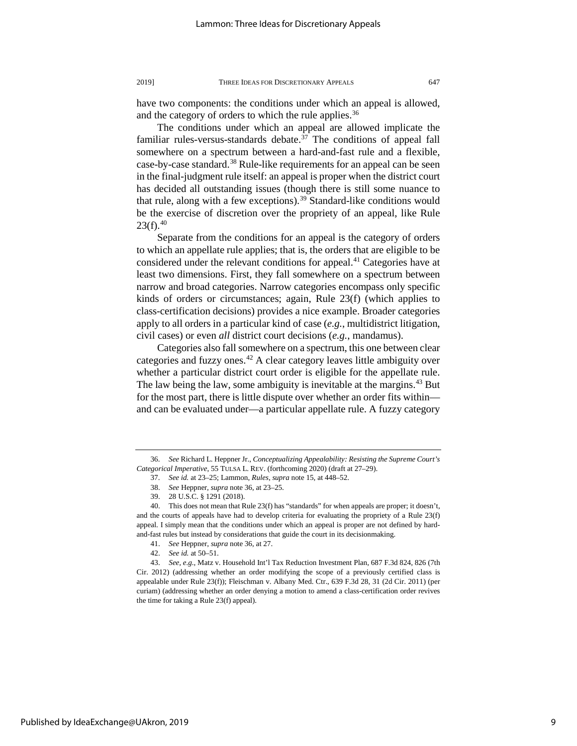have two components: the conditions under which an appeal is allowed, and the category of orders to which the rule applies.<sup>[36](#page-9-0)</sup>

The conditions under which an appeal are allowed implicate the familiar rules-versus-standards debate. $37$  The conditions of appeal fall somewhere on a spectrum between a hard-and-fast rule and a flexible, case-by-case standard.<sup>[38](#page-9-2)</sup> Rule-like requirements for an appeal can be seen in the final-judgment rule itself: an appeal is proper when the district court has decided all outstanding issues (though there is still some nuance to that rule, along with a few exceptions).<sup>39</sup> Standard-like conditions would be the exercise of discretion over the propriety of an appeal, like Rule  $23(f).^{40}$  $23(f).^{40}$  $23(f).^{40}$ 

Separate from the conditions for an appeal is the category of orders to which an appellate rule applies; that is, the orders that are eligible to be considered under the relevant conditions for appeal.<sup>[41](#page-9-5)</sup> Categories have at least two dimensions. First, they fall somewhere on a spectrum between narrow and broad categories. Narrow categories encompass only specific kinds of orders or circumstances; again, Rule 23(f) (which applies to class-certification decisions) provides a nice example. Broader categories apply to all orders in a particular kind of case (*e.g.*, multidistrict litigation, civil cases) or even *all* district court decisions (*e.g.*, mandamus).

Categories also fall somewhere on a spectrum, this one between clear categories and fuzzy ones. $42$  A clear category leaves little ambiguity over whether a particular district court order is eligible for the appellate rule. The law being the law, some ambiguity is inevitable at the margins.<sup>43</sup> But for the most part, there is little dispute over whether an order fits within and can be evaluated under—a particular appellate rule. A fuzzy category

<span id="page-9-1"></span><span id="page-9-0"></span><sup>36.</sup> *See* Richard L. Heppner Jr., *Conceptualizing Appealability: Resisting the Supreme Court's Categorical Imperative*, 55 TULSA L. REV. (forthcoming 2020) (draft at 27–29).

<sup>37.</sup> *See id.* at 23–25; Lammon, *Rules*, *supra* note 15, at 448–52.

<sup>38.</sup> *See* Heppner, *supra* note 36, at 23–25.

<sup>39.</sup> 28 U.S.C. § 1291 (2018).

<span id="page-9-4"></span><span id="page-9-3"></span><span id="page-9-2"></span><sup>40.</sup> This does not mean that Rule 23(f) has "standards" for when appeals are proper; it doesn't, and the courts of appeals have had to develop criteria for evaluating the propriety of a Rule 23(f) appeal. I simply mean that the conditions under which an appeal is proper are not defined by hardand-fast rules but instead by considerations that guide the court in its decisionmaking.

<sup>41.</sup> *See* Heppner, *supra* note 36, at 27.

<sup>42.</sup> *See id.* at 50–51.

<span id="page-9-7"></span><span id="page-9-6"></span><span id="page-9-5"></span><sup>43.</sup> *See, e.g.*, Matz v. Household Int'l Tax Reduction Investment Plan, 687 F.3d 824, 826 (7th Cir. 2012) (addressing whether an order modifying the scope of a previously certified class is appealable under Rule 23(f)); Fleischman v. Albany Med. Ctr., 639 F.3d 28, 31 (2d Cir. 2011) (per curiam) (addressing whether an order denying a motion to amend a class-certification order revives the time for taking a Rule 23(f) appeal).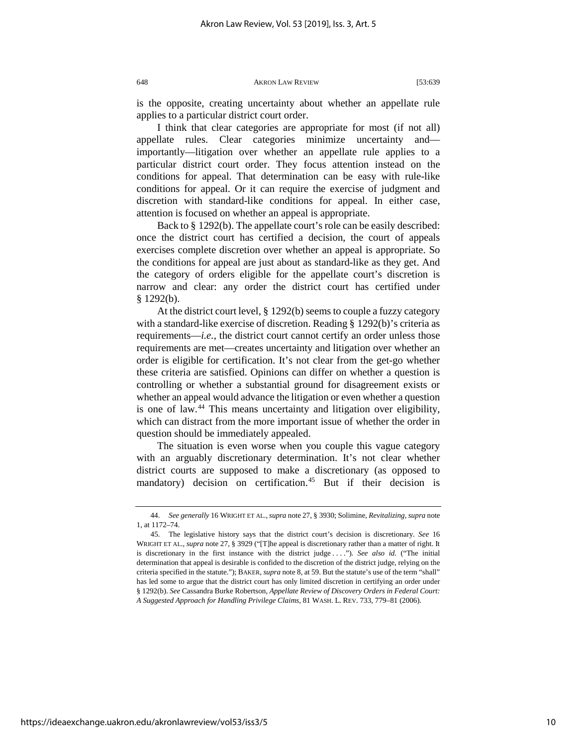is the opposite, creating uncertainty about whether an appellate rule applies to a particular district court order.

I think that clear categories are appropriate for most (if not all) appellate rules. Clear categories minimize uncertainty and importantly—litigation over whether an appellate rule applies to a particular district court order. They focus attention instead on the conditions for appeal. That determination can be easy with rule-like conditions for appeal. Or it can require the exercise of judgment and discretion with standard-like conditions for appeal. In either case, attention is focused on whether an appeal is appropriate.

Back to § 1292(b). The appellate court's role can be easily described: once the district court has certified a decision, the court of appeals exercises complete discretion over whether an appeal is appropriate. So the conditions for appeal are just about as standard-like as they get. And the category of orders eligible for the appellate court's discretion is narrow and clear: any order the district court has certified under § 1292(b).

At the district court level, § 1292(b) seems to couple a fuzzy category with a standard-like exercise of discretion. Reading § 1292(b)'s criteria as requirements—*i.e.*, the district court cannot certify an order unless those requirements are met—creates uncertainty and litigation over whether an order is eligible for certification. It's not clear from the get-go whether these criteria are satisfied. Opinions can differ on whether a question is controlling or whether a substantial ground for disagreement exists or whether an appeal would advance the litigation or even whether a question is one of law.<sup>[44](#page-10-0)</sup> This means uncertainty and litigation over eligibility, which can distract from the more important issue of whether the order in question should be immediately appealed.

The situation is even worse when you couple this vague category with an arguably discretionary determination. It's not clear whether district courts are supposed to make a discretionary (as opposed to mandatory) decision on certification.<sup>[45](#page-10-1)</sup> But if their decision is

<span id="page-10-0"></span><sup>44.</sup> *See generally* 16 WRIGHT ET AL.,*supra* note 27, § 3930; Solimine, *Revitalizing*, *supra* note 1, at 1172–74.

<span id="page-10-1"></span><sup>45.</sup> The legislative history says that the district court's decision is discretionary. *See* 16 WRIGHT ET AL., *supra* note 27, § 3929 ("[T]he appeal is discretionary rather than a matter of right. It is discretionary in the first instance with the district judge . . . ."). *See also id.* ("The initial determination that appeal is desirable is confided to the discretion of the district judge, relying on the criteria specified in the statute."); BAKER, *supra* note 8, at 59. But the statute's use of the term "shall" has led some to argue that the district court has only limited discretion in certifying an order under § 1292(b). *See* Cassandra Burke Robertson, *Appellate Review of Discovery Orders in Federal Court: A Suggested Approach for Handling Privilege Claims*, 81 WASH. L. REV. 733, 779–81 (2006).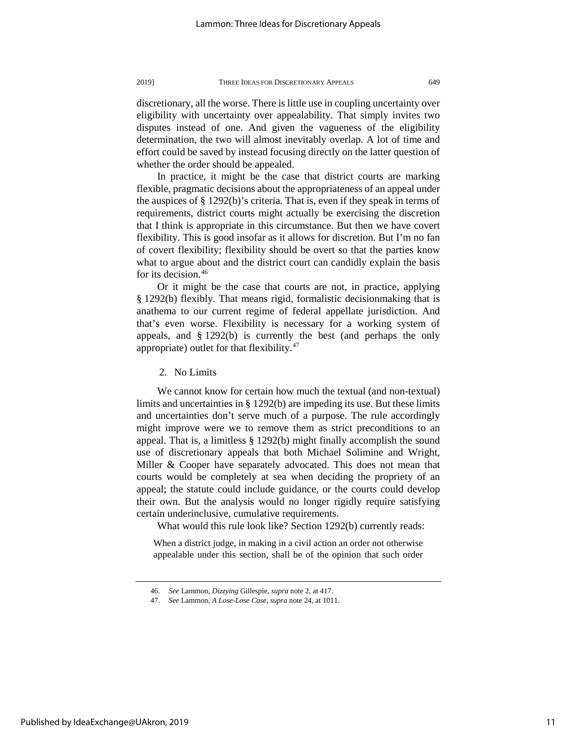discretionary, all the worse. There is little use in coupling uncertainty over eligibility with uncertainty over appealability. That simply invites two disputes instead of one. And given the vagueness of the eligibility determination, the two will almost inevitably overlap. A lot of time and effort could be saved by instead focusing directly on the latter question of whether the order should be appealed.

In practice, it might be the case that district courts are marking flexible, pragmatic decisions about the appropriateness of an appeal under the auspices of § 1292(b)'s criteria. That is, even if they speak in terms of requirements, district courts might actually be exercising the discretion that I think is appropriate in this circumstance. But then we have covert flexibility. This is good insofar as it allows for discretion. But I'm no fan of covert flexibility; flexibility should be overt so that the parties know what to argue about and the district court can candidly explain the basis for its decision.<sup>[46](#page-11-0)</sup>

Or it might be the case that courts are not, in practice, applying § 1292(b) flexibly. That means rigid, formalistic decisionmaking that is anathema to our current regime of federal appellate jurisdiction. And that's even worse. Flexibility is necessary for a working system of appeals, and § 1292(b) is currently the best (and perhaps the only appropriate) outlet for that flexibility. $47$ 

2. No Limits

We cannot know for certain how much the textual (and non-textual) limits and uncertainties in § 1292(b) are impeding its use. But these limits and uncertainties don't serve much of a purpose. The rule accordingly might improve were we to remove them as strict preconditions to an appeal. That is, a limitless § 1292(b) might finally accomplish the sound use of discretionary appeals that both Michael Solimine and Wright, Miller & Cooper have separately advocated. This does not mean that courts would be completely at sea when deciding the propriety of an appeal; the statute could include guidance, or the courts could develop their own. But the analysis would no longer rigidly require satisfying certain underinclusive, cumulative requirements.

What would this rule look like? Section 1292(b) currently reads:

When a district judge, in making in a civil action an order not otherwise appealable under this section, shall be of the opinion that such order

<span id="page-11-0"></span><sup>46.</sup> *See* Lammon, *Dizzying* Gillespie, *supra* note 2, at 417.

<span id="page-11-1"></span><sup>47.</sup> *See* Lammon, *A Lose-Lose Case*, *supra* note 24, at 1011.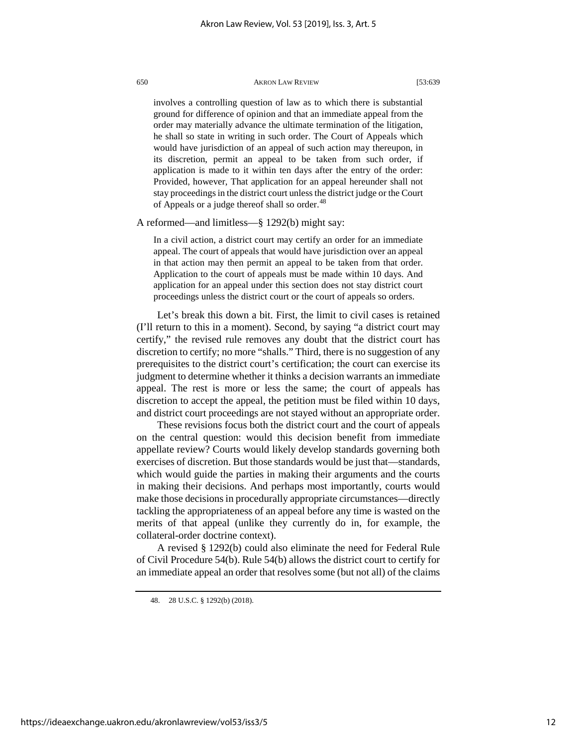involves a controlling question of law as to which there is substantial ground for difference of opinion and that an immediate appeal from the order may materially advance the ultimate termination of the litigation, he shall so state in writing in such order. The Court of Appeals which would have jurisdiction of an appeal of such action may thereupon, in its discretion, permit an appeal to be taken from such order, if application is made to it within ten days after the entry of the order: Provided, however, That application for an appeal hereunder shall not stay proceedings in the district court unless the district judge or the Court of Appeals or a judge thereof shall so order.<sup>[48](#page-12-0)</sup>

A reformed—and limitless—§ 1292(b) might say:

In a civil action, a district court may certify an order for an immediate appeal. The court of appeals that would have jurisdiction over an appeal in that action may then permit an appeal to be taken from that order. Application to the court of appeals must be made within 10 days. And application for an appeal under this section does not stay district court proceedings unless the district court or the court of appeals so orders.

Let's break this down a bit. First, the limit to civil cases is retained (I'll return to this in a moment). Second, by saying "a district court may certify," the revised rule removes any doubt that the district court has discretion to certify; no more "shalls." Third, there is no suggestion of any prerequisites to the district court's certification; the court can exercise its judgment to determine whether it thinks a decision warrants an immediate appeal. The rest is more or less the same; the court of appeals has discretion to accept the appeal, the petition must be filed within 10 days, and district court proceedings are not stayed without an appropriate order.

These revisions focus both the district court and the court of appeals on the central question: would this decision benefit from immediate appellate review? Courts would likely develop standards governing both exercises of discretion. But those standards would be just that—standards, which would guide the parties in making their arguments and the courts in making their decisions. And perhaps most importantly, courts would make those decisions in procedurally appropriate circumstances—directly tackling the appropriateness of an appeal before any time is wasted on the merits of that appeal (unlike they currently do in, for example, the collateral-order doctrine context).

<span id="page-12-0"></span>A revised § 1292(b) could also eliminate the need for Federal Rule of Civil Procedure 54(b). Rule 54(b) allows the district court to certify for an immediate appeal an order that resolves some (but not all) of the claims

<sup>48.</sup> 28 U.S.C. § 1292(b) (2018).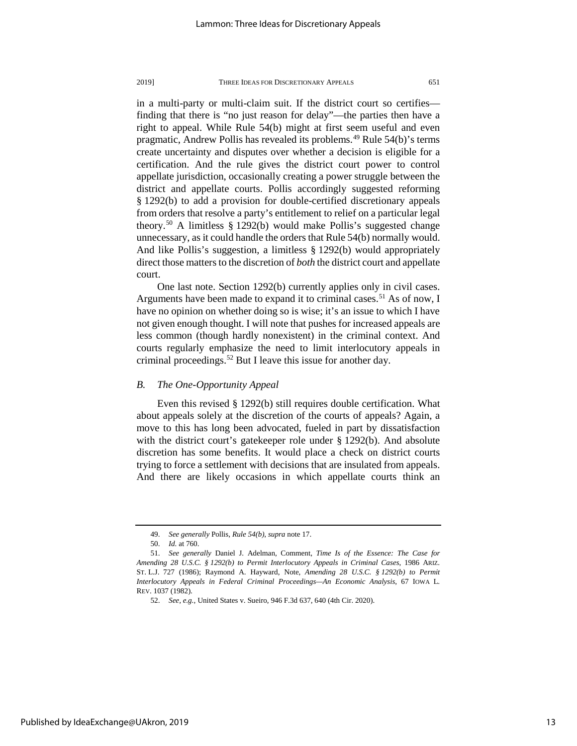in a multi-party or multi-claim suit. If the district court so certifies finding that there is "no just reason for delay"—the parties then have a right to appeal. While Rule 54(b) might at first seem useful and even pragmatic, Andrew Pollis has revealed its problems.<sup>[49](#page-13-0)</sup> Rule 54(b)'s terms create uncertainty and disputes over whether a decision is eligible for a certification. And the rule gives the district court power to control appellate jurisdiction, occasionally creating a power struggle between the district and appellate courts. Pollis accordingly suggested reforming § 1292(b) to add a provision for double-certified discretionary appeals from orders that resolve a party's entitlement to relief on a particular legal theory.<sup>[50](#page-13-1)</sup> A limitless  $\S 1292(b)$  would make Pollis's suggested change unnecessary, as it could handle the orders that Rule 54(b) normally would. And like Pollis's suggestion, a limitless § 1292(b) would appropriately direct those matters to the discretion of *both* the district court and appellate court.

One last note. Section 1292(b) currently applies only in civil cases. Arguments have been made to expand it to criminal cases.<sup>[51](#page-13-2)</sup> As of now, I have no opinion on whether doing so is wise; it's an issue to which I have not given enough thought. I will note that pushes for increased appeals are less common (though hardly nonexistent) in the criminal context. And courts regularly emphasize the need to limit interlocutory appeals in criminal proceedings.[52](#page-13-3) But I leave this issue for another day.

### *B. The One-Opportunity Appeal*

Even this revised § 1292(b) still requires double certification. What about appeals solely at the discretion of the courts of appeals? Again, a move to this has long been advocated, fueled in part by dissatisfaction with the district court's gatekeeper role under § 1292(b). And absolute discretion has some benefits. It would place a check on district courts trying to force a settlement with decisions that are insulated from appeals. And there are likely occasions in which appellate courts think an

<sup>49.</sup> *See generally* Pollis, *Rule 54(b)*, *supra* note 17.

<sup>50.</sup> *Id.* at 760.

<span id="page-13-3"></span><span id="page-13-2"></span><span id="page-13-1"></span><span id="page-13-0"></span><sup>51.</sup> *See generally* Daniel J. Adelman, Comment, *Time Is of the Essence: The Case for Amending 28 U.S.C. § 1292(b) to Permit Interlocutory Appeals in Criminal Cases*, 1986 ARIZ. ST. L.J. 727 (1986); Raymond A. Hayward, Note, *Amending 28 U.S.C. § 1292(b) to Permit Interlocutory Appeals in Federal Criminal Proceedings—An Economic Analysis*, 67 IOWA L. REV. 1037 (1982).

<sup>52.</sup> *See, e.g.*, United States v. Sueiro, 946 F.3d 637, 640 (4th Cir. 2020).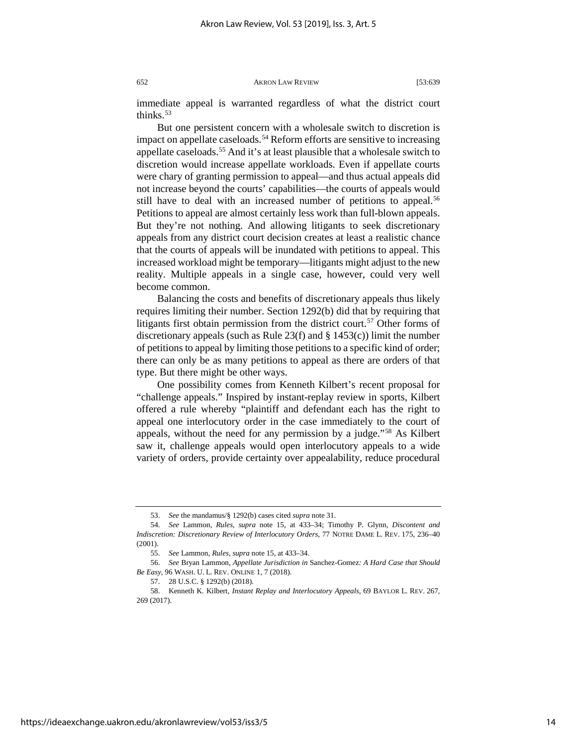immediate appeal is warranted regardless of what the district court thinks. $53$ 

But one persistent concern with a wholesale switch to discretion is impact on appellate caseloads.<sup>[54](#page-14-1)</sup> Reform efforts are sensitive to increasing appellate caseloads.<sup>55</sup> And it's at least plausible that a wholesale switch to discretion would increase appellate workloads. Even if appellate courts were chary of granting permission to appeal—and thus actual appeals did not increase beyond the courts' capabilities—the courts of appeals would still have to deal with an increased number of petitions to appeal.<sup>[56](#page-14-3)</sup> Petitions to appeal are almost certainly less work than full-blown appeals. But they're not nothing. And allowing litigants to seek discretionary appeals from any district court decision creates at least a realistic chance that the courts of appeals will be inundated with petitions to appeal. This increased workload might be temporary—litigants might adjust to the new reality. Multiple appeals in a single case, however, could very well become common.

Balancing the costs and benefits of discretionary appeals thus likely requires limiting their number. Section 1292(b) did that by requiring that litigants first obtain permission from the district court.<sup>[57](#page-14-4)</sup> Other forms of discretionary appeals (such as Rule 23(f) and  $\S$  1453(c)) limit the number of petitions to appeal by limiting those petitions to a specific kind of order; there can only be as many petitions to appeal as there are orders of that type. But there might be other ways.

One possibility comes from Kenneth Kilbert's recent proposal for "challenge appeals." Inspired by instant-replay review in sports, Kilbert offered a rule whereby "plaintiff and defendant each has the right to appeal one interlocutory order in the case immediately to the court of appeals, without the need for any permission by a judge."[58](#page-14-5) As Kilbert saw it, challenge appeals would open interlocutory appeals to a wide variety of orders, provide certainty over appealability, reduce procedural

<sup>53.</sup> *See* the mandamus/§ 1292(b) cases cited *supra* note 31.

<span id="page-14-2"></span><span id="page-14-1"></span><span id="page-14-0"></span><sup>54.</sup> *See* Lammon, *Rules*, *supra* note 15, at 433–34; Timothy P. Glynn, *Discontent and Indiscretion: Discretionary Review of Interlocutory Orders*, 77 NOTRE DAME L. REV. 175, 236–40 (2001).

<sup>55.</sup> *See* Lammon, *Rules*, *supra* note 15, at 433–34.

<span id="page-14-3"></span><sup>56.</sup> *See* Bryan Lammon, *Appellate Jurisdiction in* Sanchez-Gomez*: A Hard Case that Should Be Easy*, 96 WASH. U. L. REV. ONLINE 1, 7 (2018).

<sup>57.</sup> 28 U.S.C. § 1292(b) (2018).

<span id="page-14-5"></span><span id="page-14-4"></span><sup>58.</sup> Kenneth K. Kilbert, *Instant Replay and Interlocutory Appeals*, 69 BAYLOR L. REV. 267, 269 (2017).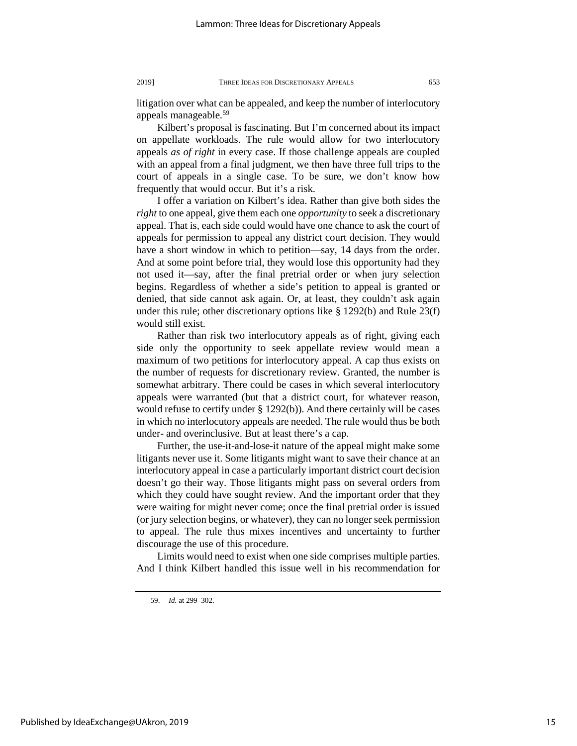litigation over what can be appealed, and keep the number of interlocutory appeals manageable.<sup>[59](#page-15-0)</sup>

Kilbert's proposal is fascinating. But I'm concerned about its impact on appellate workloads. The rule would allow for two interlocutory appeals *as of right* in every case. If those challenge appeals are coupled with an appeal from a final judgment, we then have three full trips to the court of appeals in a single case. To be sure, we don't know how frequently that would occur. But it's a risk.

I offer a variation on Kilbert's idea. Rather than give both sides the *right* to one appeal, give them each one *opportunity* to seek a discretionary appeal. That is, each side could would have one chance to ask the court of appeals for permission to appeal any district court decision. They would have a short window in which to petition—say, 14 days from the order. And at some point before trial, they would lose this opportunity had they not used it—say, after the final pretrial order or when jury selection begins. Regardless of whether a side's petition to appeal is granted or denied, that side cannot ask again. Or, at least, they couldn't ask again under this rule; other discretionary options like § 1292(b) and Rule 23(f) would still exist.

Rather than risk two interlocutory appeals as of right, giving each side only the opportunity to seek appellate review would mean a maximum of two petitions for interlocutory appeal. A cap thus exists on the number of requests for discretionary review. Granted, the number is somewhat arbitrary. There could be cases in which several interlocutory appeals were warranted (but that a district court, for whatever reason, would refuse to certify under § 1292(b)). And there certainly will be cases in which no interlocutory appeals are needed. The rule would thus be both under- and overinclusive. But at least there's a cap.

Further, the use-it-and-lose-it nature of the appeal might make some litigants never use it. Some litigants might want to save their chance at an interlocutory appeal in case a particularly important district court decision doesn't go their way. Those litigants might pass on several orders from which they could have sought review. And the important order that they were waiting for might never come; once the final pretrial order is issued (or jury selection begins, or whatever), they can no longer seek permission to appeal. The rule thus mixes incentives and uncertainty to further discourage the use of this procedure.

Limits would need to exist when one side comprises multiple parties. And I think Kilbert handled this issue well in his recommendation for

<span id="page-15-0"></span>Published by IdeaExchange@UAkron, 2019

<sup>59.</sup> *Id.* at 299–302.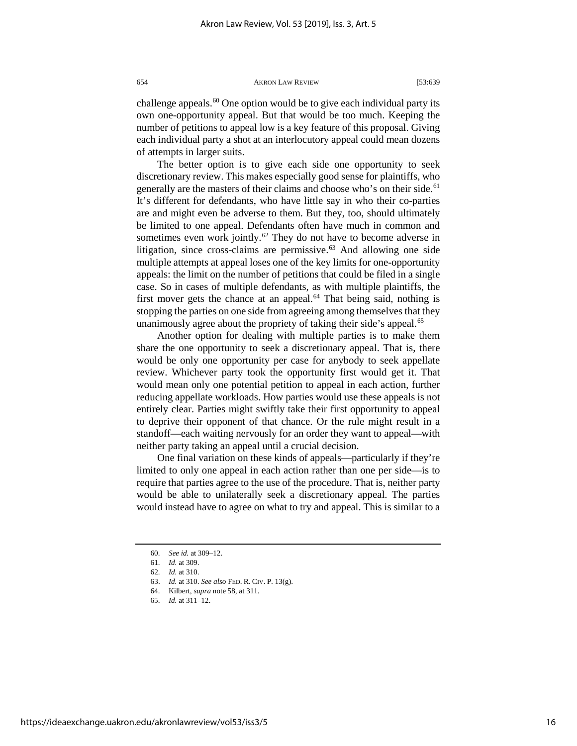challenge appeals.<sup>[60](#page-16-0)</sup> One option would be to give each individual party its own one-opportunity appeal. But that would be too much. Keeping the number of petitions to appeal low is a key feature of this proposal. Giving each individual party a shot at an interlocutory appeal could mean dozens of attempts in larger suits.

The better option is to give each side one opportunity to seek discretionary review. This makes especially good sense for plaintiffs, who generally are the masters of their claims and choose who's on their side.<sup>[61](#page-16-1)</sup> It's different for defendants, who have little say in who their co-parties are and might even be adverse to them. But they, too, should ultimately be limited to one appeal. Defendants often have much in common and sometimes even work jointly.<sup>[62](#page-16-2)</sup> They do not have to become adverse in litigation, since cross-claims are permissive. $63$  And allowing one side multiple attempts at appeal loses one of the key limits for one-opportunity appeals: the limit on the number of petitions that could be filed in a single case. So in cases of multiple defendants, as with multiple plaintiffs, the first mover gets the chance at an appeal.<sup>[64](#page-16-4)</sup> That being said, nothing is stopping the parties on one side from agreeing among themselves that they unanimously agree about the propriety of taking their side's appeal.<sup>[65](#page-16-5)</sup>

Another option for dealing with multiple parties is to make them share the one opportunity to seek a discretionary appeal. That is, there would be only one opportunity per case for anybody to seek appellate review. Whichever party took the opportunity first would get it. That would mean only one potential petition to appeal in each action, further reducing appellate workloads. How parties would use these appeals is not entirely clear. Parties might swiftly take their first opportunity to appeal to deprive their opponent of that chance. Or the rule might result in a standoff—each waiting nervously for an order they want to appeal—with neither party taking an appeal until a crucial decision.

One final variation on these kinds of appeals—particularly if they're limited to only one appeal in each action rather than one per side—is to require that parties agree to the use of the procedure. That is, neither party would be able to unilaterally seek a discretionary appeal. The parties would instead have to agree on what to try and appeal. This is similar to a

<sup>60.</sup> *See id.* at 309–12.

<span id="page-16-1"></span><span id="page-16-0"></span><sup>61.</sup> *Id.* at 309.

<span id="page-16-2"></span><sup>62.</sup> *Id.* at 310.

<span id="page-16-3"></span><sup>63.</sup> *Id.* at 310. *See also* FED. R. CIV. P. 13(g).

<span id="page-16-5"></span><span id="page-16-4"></span><sup>64.</sup> Kilbert, *supra* note 58, at 311.

<sup>65.</sup> *Id.* at 311–12.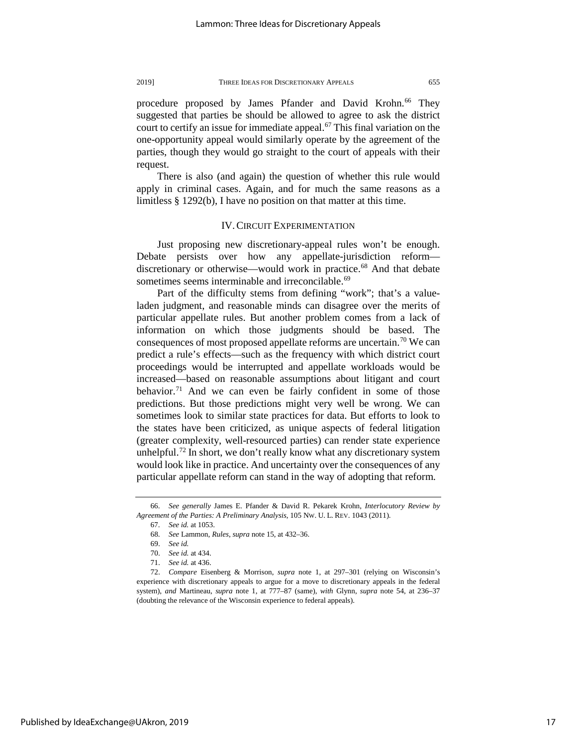procedure proposed by James Pfander and David Krohn.<sup>[66](#page-17-0)</sup> They suggested that parties be should be allowed to agree to ask the district court to certify an issue for immediate appeal.<sup>[67](#page-17-1)</sup> This final variation on the one-opportunity appeal would similarly operate by the agreement of the parties, though they would go straight to the court of appeals with their request.

There is also (and again) the question of whether this rule would apply in criminal cases. Again, and for much the same reasons as a limitless § 1292(b), I have no position on that matter at this time.

#### IV. CIRCUIT EXPERIMENTATION

Just proposing new discretionary-appeal rules won't be enough. Debate persists over how any appellate-jurisdiction reform discretionary or otherwise—would work in practice. [68](#page-17-2) And that debate sometimes seems interminable and irreconcilable.<sup>[69](#page-17-3)</sup>

Part of the difficulty stems from defining "work"; that's a valueladen judgment, and reasonable minds can disagree over the merits of particular appellate rules. But another problem comes from a lack of information on which those judgments should be based. The consequences of most proposed appellate reforms are uncertain.<sup>[70](#page-17-4)</sup> We can predict a rule's effects—such as the frequency with which district court proceedings would be interrupted and appellate workloads would be increased—based on reasonable assumptions about litigant and court behavior.<sup>[71](#page-17-5)</sup> And we can even be fairly confident in some of those predictions. But those predictions might very well be wrong. We can sometimes look to similar state practices for data. But efforts to look to the states have been criticized, as unique aspects of federal litigation (greater complexity, well-resourced parties) can render state experience unhelpful.<sup>[72](#page-17-6)</sup> In short, we don't really know what any discretionary system would look like in practice. And uncertainty over the consequences of any particular appellate reform can stand in the way of adopting that reform.

<span id="page-17-2"></span><span id="page-17-1"></span><span id="page-17-0"></span><sup>66.</sup> *See generally* James E. Pfander & David R. Pekarek Krohn, *Interlocutory Review by Agreement of the Parties: A Preliminary Analysis*, 105 NW. U. L. REV. 1043 (2011).

<sup>67.</sup> *See id.* at 1053.

<sup>68.</sup> *See* Lammon, *Rules*, *supra* note 15, at 432–36.

<sup>69.</sup> *See id.*

<sup>70.</sup> *See id.* at 434.

<sup>71.</sup> *See id.* at 436.

<span id="page-17-6"></span><span id="page-17-5"></span><span id="page-17-4"></span><span id="page-17-3"></span><sup>72.</sup> *Compare* Eisenberg & Morrison, *supra* note 1, at 297–301 (relying on Wisconsin's experience with discretionary appeals to argue for a move to discretionary appeals in the federal system), *and* Martineau, *supra* note 1, at 777–87 (same), *with* Glynn, *supra* note 54, at 236–37 (doubting the relevance of the Wisconsin experience to federal appeals).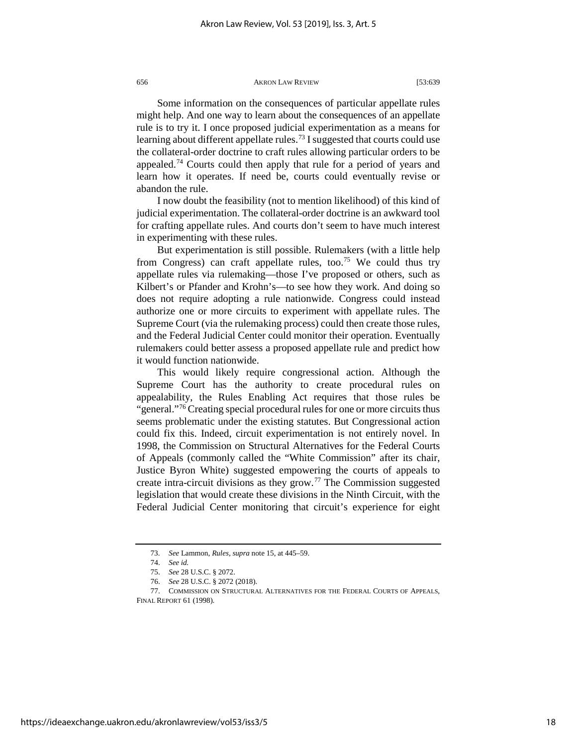#### 656 **AKRON LAW REVIEW** [53:639] AKRON LAW REVIEW

Some information on the consequences of particular appellate rules might help. And one way to learn about the consequences of an appellate rule is to try it. I once proposed judicial experimentation as a means for learning about different appellate rules.<sup>[73](#page-18-0)</sup> I suggested that courts could use the collateral-order doctrine to craft rules allowing particular orders to be appealed.<sup>[74](#page-18-1)</sup> Courts could then apply that rule for a period of years and learn how it operates. If need be, courts could eventually revise or abandon the rule.

I now doubt the feasibility (not to mention likelihood) of this kind of judicial experimentation. The collateral-order doctrine is an awkward tool for crafting appellate rules. And courts don't seem to have much interest in experimenting with these rules.

But experimentation is still possible. Rulemakers (with a little help from Congress) can craft appellate rules, too.<sup>[75](#page-18-2)</sup> We could thus try appellate rules via rulemaking—those I've proposed or others, such as Kilbert's or Pfander and Krohn's—to see how they work. And doing so does not require adopting a rule nationwide. Congress could instead authorize one or more circuits to experiment with appellate rules. The Supreme Court (via the rulemaking process) could then create those rules, and the Federal Judicial Center could monitor their operation. Eventually rulemakers could better assess a proposed appellate rule and predict how it would function nationwide.

This would likely require congressional action. Although the Supreme Court has the authority to create procedural rules on appealability, the Rules Enabling Act requires that those rules be "general."<sup>[76](#page-18-3)</sup> Creating special procedural rules for one or more circuits thus seems problematic under the existing statutes. But Congressional action could fix this. Indeed, circuit experimentation is not entirely novel. In 1998, the Commission on Structural Alternatives for the Federal Courts of Appeals (commonly called the "White Commission" after its chair, Justice Byron White) suggested empowering the courts of appeals to create intra-circuit divisions as they grow.<sup>[77](#page-18-4)</sup> The Commission suggested legislation that would create these divisions in the Ninth Circuit, with the Federal Judicial Center monitoring that circuit's experience for eight

<sup>73.</sup> *See* Lammon, *Rules*, *supra* note 15, at 445–59.

<sup>74.</sup> *See id.*

<sup>75.</sup> *See* 28 U.S.C. § 2072.

<sup>76.</sup> *See* 28 U.S.C. § 2072 (2018).

<span id="page-18-4"></span><span id="page-18-3"></span><span id="page-18-2"></span><span id="page-18-1"></span><span id="page-18-0"></span><sup>77.</sup> COMMISSION ON STRUCTURAL ALTERNATIVES FOR THE FEDERAL COURTS OF APPEALS, FINAL REPORT 61 (1998).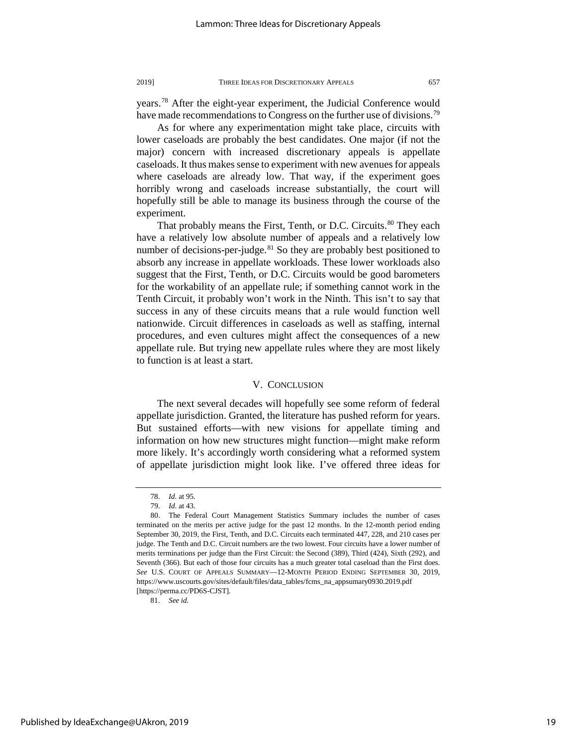years[.78](#page-19-0) After the eight-year experiment, the Judicial Conference would have made recommendations to Congress on the further use of divisions.<sup>[79](#page-19-1)</sup>

As for where any experimentation might take place, circuits with lower caseloads are probably the best candidates. One major (if not the major) concern with increased discretionary appeals is appellate caseloads. It thus makes sense to experiment with new avenues for appeals where caseloads are already low. That way, if the experiment goes horribly wrong and caseloads increase substantially, the court will hopefully still be able to manage its business through the course of the experiment.

That probably means the First, Tenth, or D.C. Circuits.<sup>[80](#page-19-2)</sup> They each have a relatively low absolute number of appeals and a relatively low number of decisions-per-judge. $81$  So they are probably best positioned to absorb any increase in appellate workloads. These lower workloads also suggest that the First, Tenth, or D.C. Circuits would be good barometers for the workability of an appellate rule; if something cannot work in the Tenth Circuit, it probably won't work in the Ninth. This isn't to say that success in any of these circuits means that a rule would function well nationwide. Circuit differences in caseloads as well as staffing, internal procedures, and even cultures might affect the consequences of a new appellate rule. But trying new appellate rules where they are most likely to function is at least a start.

## V. CONCLUSION

The next several decades will hopefully see some reform of federal appellate jurisdiction. Granted, the literature has pushed reform for years. But sustained efforts—with new visions for appellate timing and information on how new structures might function—might make reform more likely. It's accordingly worth considering what a reformed system of appellate jurisdiction might look like. I've offered three ideas for

<span id="page-19-3"></span>81. *See id.*

<sup>78.</sup> *Id.* at 95.

<sup>79.</sup> *Id.* at 43.

<span id="page-19-2"></span><span id="page-19-1"></span><span id="page-19-0"></span><sup>80.</sup> The Federal Court Management Statistics Summary includes the number of cases terminated on the merits per active judge for the past 12 months. In the 12-month period ending September 30, 2019, the First, Tenth, and D.C. Circuits each terminated 447, 228, and 210 cases per judge. The Tenth and D.C. Circuit numbers are the two lowest. Four circuits have a lower number of merits terminations per judge than the First Circuit: the Second (389), Third (424), Sixth (292), and Seventh (366). But each of those four circuits has a much greater total caseload than the First does. *See* U.S. COURT OF APPEALS SUMMARY—12-MONTH PERIOD ENDING SEPTEMBER 30, 2019, https://www.uscourts.gov/sites/default/files/data\_tables/fcms\_na\_appsumary0930.2019.pdf [https://perma.cc/PD6S-CJST].